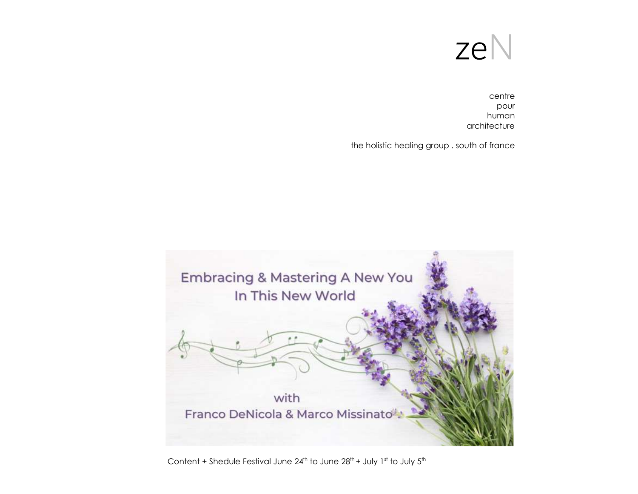

centre pour human architecture

the holistic healing group . south of france



Content + Shedule Festival June  $24^{th}$  to June  $28^{th}$  + July 1st to July  $5^{th}$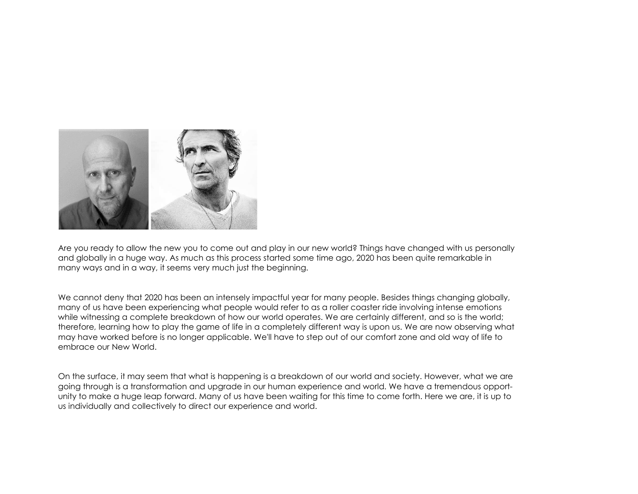

Are you ready to allow the new you to come out and play in our new world? Things have changed with us personally and globally in a huge way. As much as this process started some time ago, 2020 has been quite remarkable in many ways and in a way, it seems very much just the beginning.

We cannot deny that 2020 has been an intensely impactful year for many people. Besides things changing globally, many of us have been experiencing what people would refer to as a roller coaster ride involving intense emotions while witnessing a complete breakdown of how our world operates. We are certainly different, and so is the world; therefore, learning how to play the game of life in a completely different way is upon us. We are now observing what may have worked before is no longer applicable. We'll have to step out of our comfort zone and old way of life to embrace our New World.

On the surface, it may seem that what is happening is a breakdown of our world and society. However, what we are going through is a transformation and upgrade in our human experience and world. We have a tremendous opportunity to make a huge leap forward. Many of us have been waiting for this time to come forth. Here we are, it is up to us individually and collectively to direct our experience and world.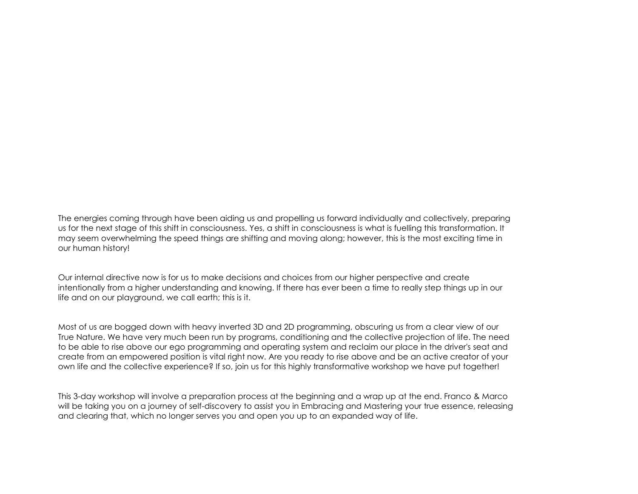The energies coming through have been aiding us and propelling us forward individually and collectively, preparing us for the next stage of this shift in consciousness. Yes, a shift in consciousness is what is fuelling this transformation. It may seem overwhelming the speed things are shifting and moving along; however, this is the most exciting time in our human history!

Our internal directive now is for us to make decisions and choices from our higher perspective and create intentionally from a higher understanding and knowing. If there has ever been a time to really step things up in our life and on our playground, we call earth; this is it.

Most of us are bogged down with heavy inverted 3D and 2D programming, obscuring us from a clear view of our True Nature. We have very much been run by programs, conditioning and the collective projection of life. The need to be able to rise above our ego programming and operating system and reclaim our place in the driver's seat and create from an empowered position is vital right now. Are you ready to rise above and be an active creator of your own life and the collective experience? If so, join us for this highly transformative workshop we have put together!

This 3-day workshop will involve a preparation process at the beginning and a wrap up at the end. Franco & Marco will be taking you on a journey of self-discovery to assist you in Embracing and Mastering your true essence, releasing and clearing that, which no longer serves you and open you up to an expanded way of life.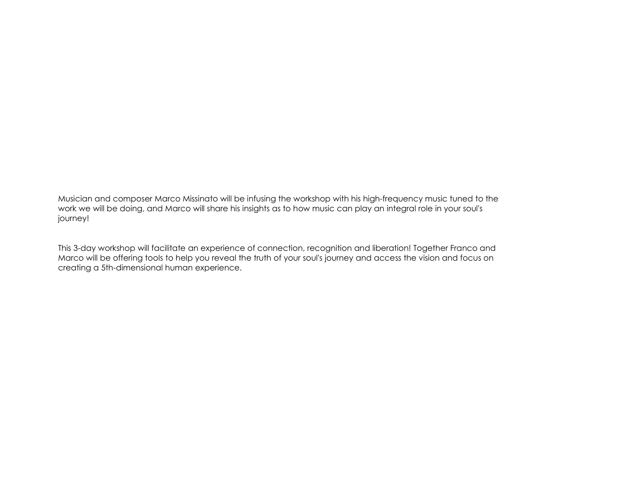Musician and composer Marco Missinato will be infusing the workshop with his high-frequency music tuned to the work we will be doing, and Marco will share his insights as to how music can play an integral role in your soul's journey!

This 3-day workshop will facilitate an experience of connection, recognition and liberation! Together Franco and Marco will be offering tools to help you reveal the truth of your soul's journey and access the vision and focus on creating a 5th-dimensional human experience.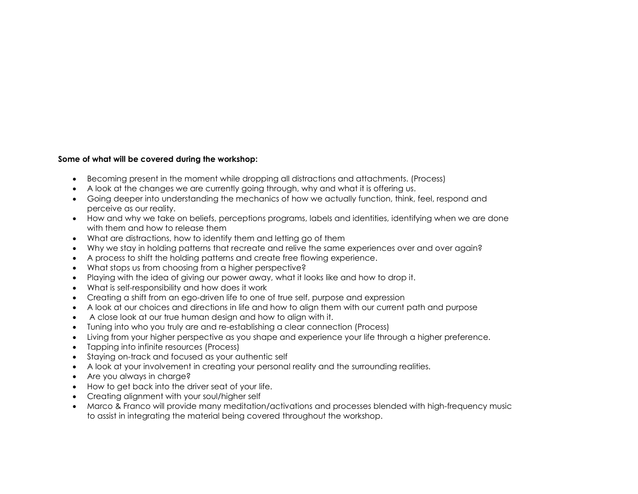### Some of what will be covered during the workshop:

- Becoming present in the moment while dropping all distractions and attachments. (Process)
- A look at the changes we are currently going through, why and what it is offering us.
- Going deeper into understanding the mechanics of how we actually function, think, feel, respond and perceive as our reality.
- How and why we take on beliefs, perceptions programs, labels and identities, identifying when we are done with them and how to release them
- What are distractions, how to identify them and letting go of them
- Why we stay in holding patterns that recreate and relive the same experiences over and over again?
- A process to shift the holding patterns and create free flowing experience.
- What stops us from choosing from a higher perspective?
- Playing with the idea of giving our power away, what it looks like and how to drop it.
- What is self-responsibility and how does it work
- Creating a shift from an ego-driven life to one of true self, purpose and expression
- A look at our choices and directions in life and how to align them with our current path and purpose
- A close look at our true human design and how to align with it.
- Tuning into who you truly are and re-establishing a clear connection (Process)
- Living from your higher perspective as you shape and experience your life through a higher preference.
- Tapping into infinite resources (Process)
- Staying on-track and focused as your authentic self
- A look at your involvement in creating your personal reality and the surrounding realities.
- Are you always in charge?
- How to get back into the driver seat of your life.
- Creating alignment with your soul/higher self
- Marco & Franco will provide many meditation/activations and processes blended with high-frequency music to assist in integrating the material being covered throughout the workshop.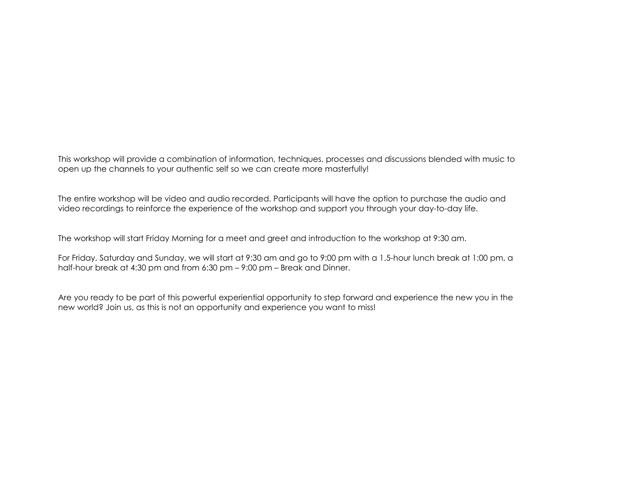This workshop will provide a combination of information, techniques, processes and discussions blended with music to open up the channels to your authentic self so we can create more masterfully!

The entire workshop will be video and audio recorded. Participants will have the option to purchase the audio and video recordings to reinforce the experience of the workshop and support you through your day-to-day life.

The workshop will start Friday Morning for a meet and greet and introduction to the workshop at 9:30 am.

For Friday, Saturday and Sunday, we will start at 9:30 am and go to 9:00 pm with a 1.5-hour lunch break at 1:00 pm, a half-hour break at 4:30 pm and from 6:30 pm – 9:00 pm – Break and Dinner.

Are you ready to be part of this powerful experiential opportunity to step forward and experience the new you in the new world? Join us, as this is not an opportunity and experience you want to miss!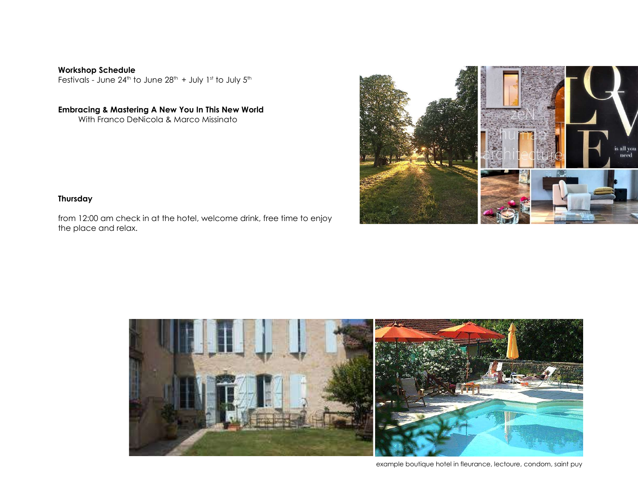Workshop Schedule Festivals - June  $24^{th}$  to June  $28^{th}$  + July 1st to July  $5^{th}$ 

Embracing & Mastering A New You In This New World With Franco DeNicola & Marco Missinato



# **Thursday**

from 12:00 am check in at the hotel, welcome drink, free time to enjoy the place and relax.



example boutique hotel in fleurance, lectoure, condom, saint puy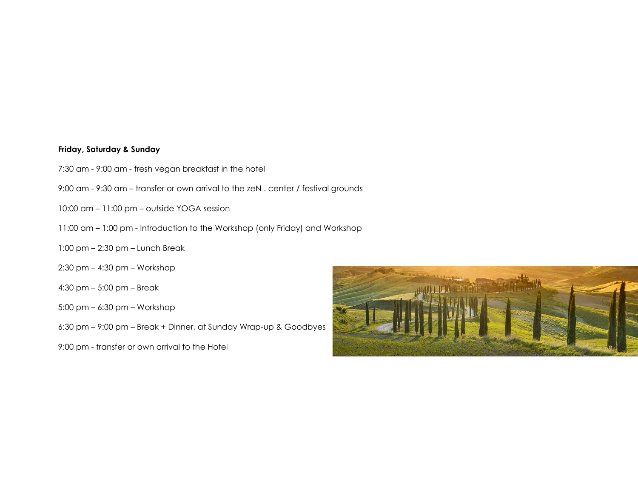# Friday, Saturday & Sunday

- 7:30 am 9:00 am fresh vegan breakfast in the hotel
- 9:00 am 9:30 am transfer or own arrival to the zeN . center / festival grounds
- 10:00 am 11:00 pm outside YOGA session
- 11:00 am 1:00 pm Introduction to the Workshop (only Friday) and Workshop
- 1:00 pm 2:30 pm Lunch Break
- 2:30 pm 4:30 pm Workshop
- 4:30 pm 5:00 pm Break
- 5:00 pm 6:30 pm Workshop
- 6:30 pm 9:00 pm Break + Dinner, at Sunday Wrap-up & Goodbyes
- 9:00 pm transfer or own arrival to the Hotel

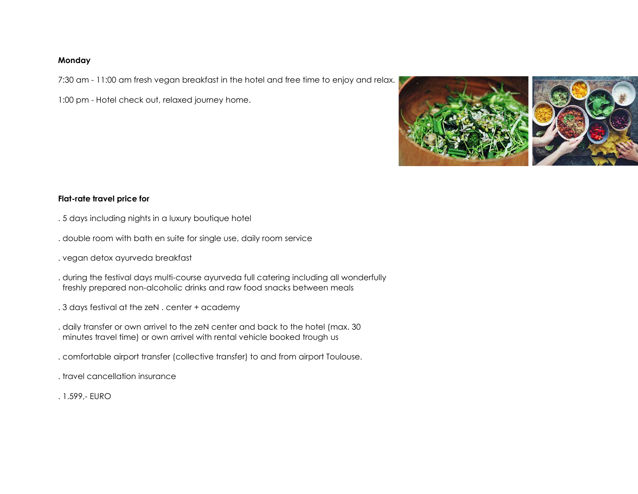## Monday

7:30 am - 11:00 am fresh vegan breakfast in the hotel and free time to enjoy and relax.

1:00 pm - Hotel check out, relaxed journey home.



# Flat-rate travel price for

- . 5 days including nights in a luxury boutique hotel
- . double room with bath en suite for single use, daily room service
- . vegan detox ayurveda breakfast
- . during the festival days multi-course ayurveda full catering including all wonderfully freshly prepared non-alcoholic drinks and raw food snacks between meals
- . 3 days festival at the zeN . center + academy
- . daily transfer or own arrivel to the zeN center and back to the hotel (max. 30 minutes travel time) or own arrivel with rental vehicle booked trough us
- . comfortable airport transfer (collective transfer) to and from airport Toulouse.
- . travel cancellation insurance
- . 1.599,- EURO